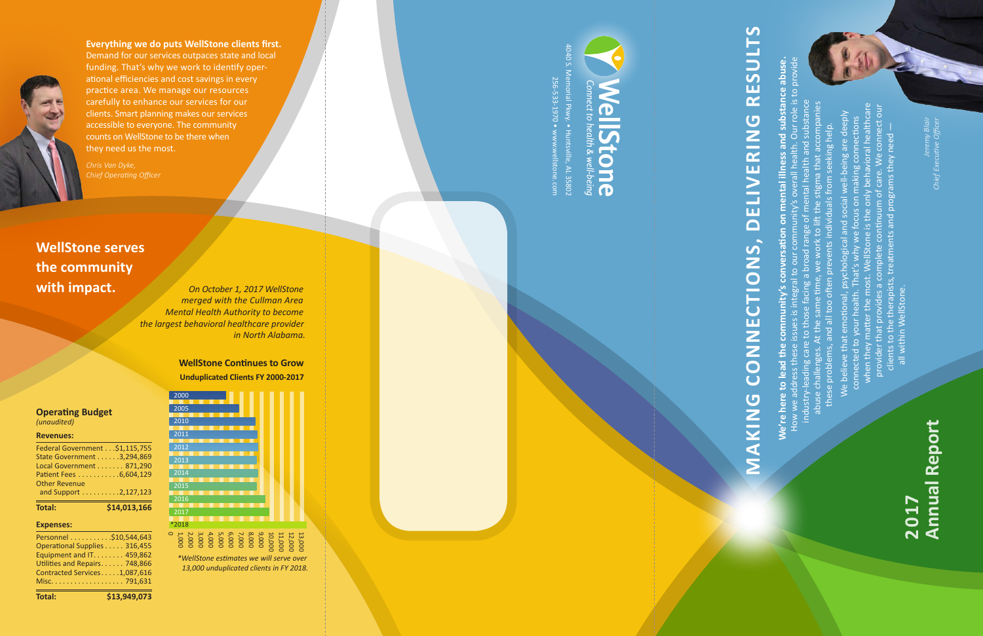4040 S. Memorial Pkwy. • Huntsville, AL 35802

**We're here to lead the community's conversation on mental illness and substance abuse.**  How we address these issues is integral to our community's overall health. Our role is to provide nd substance abus industry-leading care to those facing a broad range of mental health and substance abuse challenges. At the same time, we work to lift the stigma that accompanies when they matter the most. WellStone is the only behavioral healthcare provider that provides a complete continuum of care. We connect our We believe that emotional, psychological and social well-being are deeply connected to your health. That's why we focus on making connections these problems, and all too often prevents individuals from seeking help. **Ne're here to** 

256-533-1970 • www.wellstone.com

**U/ 6-235-29/U** 

# **RESULTS MAKING CONNECTIONS, DELIVERING RESULTS DELIVERING** CTIONS, UNNOU MAKING

clients to the therapists, treatments and programs they need —

all within WellStone.

 $Q \rightarrow Q$ 2,000 3,000 4,000 5,000 6,000 7,000 8,000 9,000 \*2018  $^{-201}$  $2016$  $\overline{2015}$ 



**Everything we do puts WellStone clients first.** Demand for our services outpaces state and local funding. That's why we work to identify oper ational efficiencies and cost savings in every practice area. We manage our resources carefully to enhance our services for our clients. Smart planning makes our services accessible to everyone. The community counts on WellStone to be there when they need us the most.

*Chief Operating Officer*

# **Annual Report** *Jeremy Blair Chief Executive Officer* **Annual Report 2017**

**WellStone serves the community with impact.**

> **WellStone Continues to Grow Unduplicated Clients FY 2000-2017**

*On October 1, 2017 WellStone merged with the Cullman Area Mental Health Authority to become the largest behavioral healthcare provider in North Alabama.*

> 1,000 10,000 11,000 12,000 13,000 *\*WellStone estimates we will serve over*

*13,000 unduplicated clients in FY 2018.*

T

### **Operating Budget**  *(unaudited)*

### **Revenues:**

| <b>Total:</b>                  | \$14,013,166 |
|--------------------------------|--------------|
| and Support 2,127,123          |              |
| <b>Other Revenue</b>           |              |
| Patient Fees 6,604,129         |              |
| Local Government 871,290       |              |
| State Government 3,294,869     |              |
| Federal Government \$1,115,755 |              |

### **Expenses:**

| Personnel \$10,544,643        |  |
|-------------------------------|--|
| Operational Supplies 316,455  |  |
| Equipment and IT. 459,862     |  |
| Utilities and Repairs 748,866 |  |
| Contracted Services1,087,616  |  |
|                               |  |
|                               |  |

**Total: \$13,949,073**